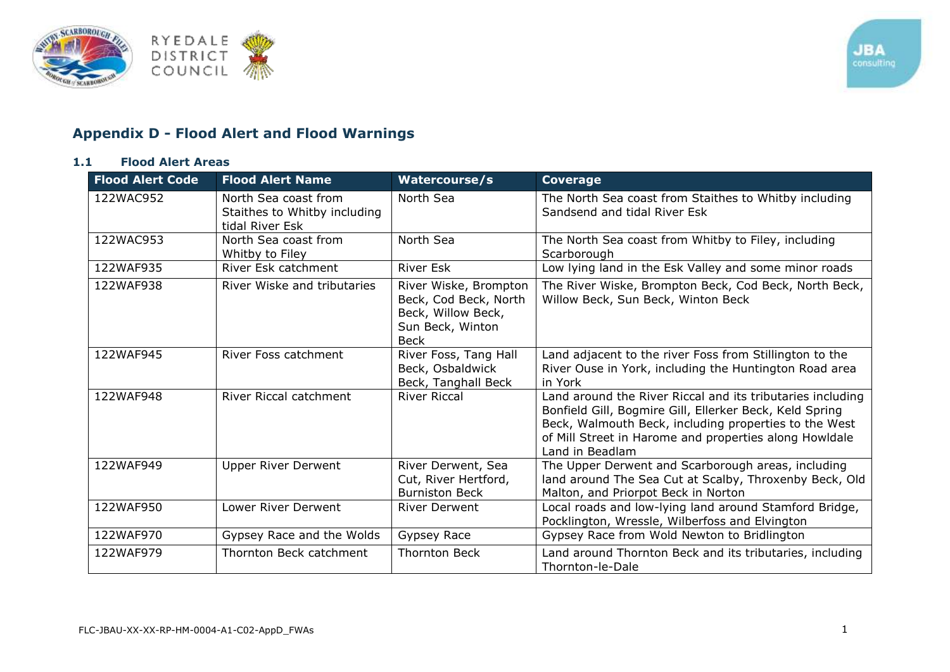

## **Appendix D - Flood Alert and Flood Warnings**

## **1.1 Flood Alert Areas**

| <b>Flood Alert Code</b> | <b>Flood Alert Name</b>                                                 | Watercourse/s                                                                                           | <b>Coverage</b>                                                                                                                                                                                                                                             |
|-------------------------|-------------------------------------------------------------------------|---------------------------------------------------------------------------------------------------------|-------------------------------------------------------------------------------------------------------------------------------------------------------------------------------------------------------------------------------------------------------------|
| 122WAC952               | North Sea coast from<br>Staithes to Whitby including<br>tidal River Esk | North Sea                                                                                               | The North Sea coast from Staithes to Whitby including<br>Sandsend and tidal River Esk                                                                                                                                                                       |
| 122WAC953               | North Sea coast from<br>Whitby to Filey                                 | North Sea                                                                                               | The North Sea coast from Whitby to Filey, including<br>Scarborough                                                                                                                                                                                          |
| 122WAF935               | River Esk catchment                                                     | <b>River Esk</b>                                                                                        | Low lying land in the Esk Valley and some minor roads                                                                                                                                                                                                       |
| 122WAF938               | River Wiske and tributaries                                             | River Wiske, Brompton<br>Beck, Cod Beck, North<br>Beck, Willow Beck,<br>Sun Beck, Winton<br><b>Beck</b> | The River Wiske, Brompton Beck, Cod Beck, North Beck,<br>Willow Beck, Sun Beck, Winton Beck                                                                                                                                                                 |
| 122WAF945               | River Foss catchment                                                    | River Foss, Tang Hall<br>Beck, Osbaldwick<br>Beck, Tanghall Beck                                        | Land adjacent to the river Foss from Stillington to the<br>River Ouse in York, including the Huntington Road area<br>in York                                                                                                                                |
| 122WAF948               | River Riccal catchment                                                  | <b>River Riccal</b>                                                                                     | Land around the River Riccal and its tributaries including<br>Bonfield Gill, Bogmire Gill, Ellerker Beck, Keld Spring<br>Beck, Walmouth Beck, including properties to the West<br>of Mill Street in Harome and properties along Howldale<br>Land in Beadlam |
| 122WAF949               | <b>Upper River Derwent</b>                                              | River Derwent, Sea<br>Cut, River Hertford,<br><b>Burniston Beck</b>                                     | The Upper Derwent and Scarborough areas, including<br>land around The Sea Cut at Scalby, Throxenby Beck, Old<br>Malton, and Priorpot Beck in Norton                                                                                                         |
| 122WAF950               | Lower River Derwent                                                     | <b>River Derwent</b>                                                                                    | Local roads and low-lying land around Stamford Bridge,<br>Pocklington, Wressle, Wilberfoss and Elvington                                                                                                                                                    |
| 122WAF970               | Gypsey Race and the Wolds                                               | Gypsey Race                                                                                             | Gypsey Race from Wold Newton to Bridlington                                                                                                                                                                                                                 |
| 122WAF979               | Thornton Beck catchment                                                 | <b>Thornton Beck</b>                                                                                    | Land around Thornton Beck and its tributaries, including<br>Thornton-le-Dale                                                                                                                                                                                |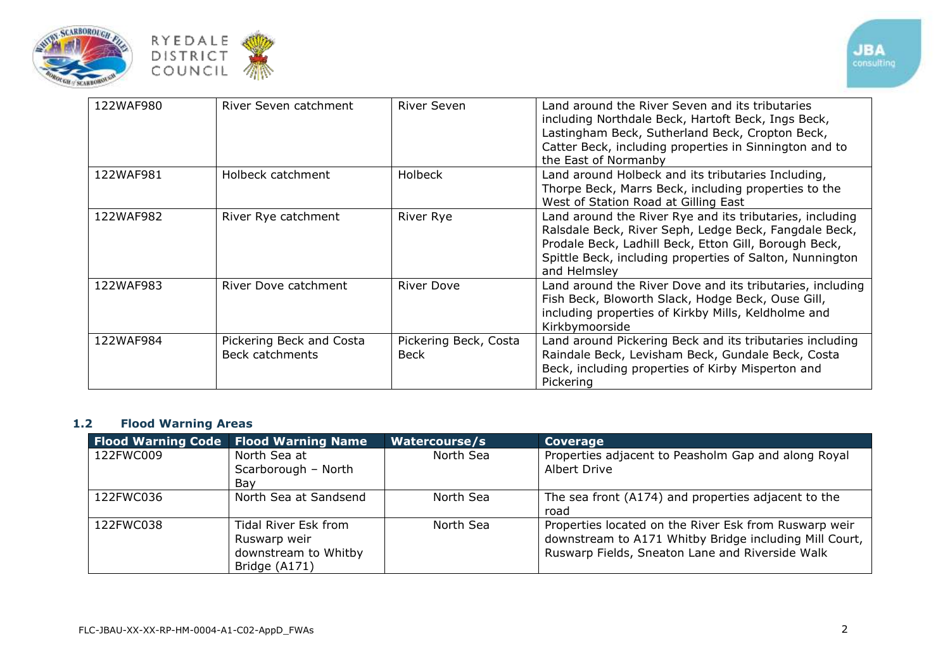



| 122WAF980 | River Seven catchment                       | River Seven                          | Land around the River Seven and its tributaries<br>including Northdale Beck, Hartoft Beck, Ings Beck,<br>Lastingham Beck, Sutherland Beck, Cropton Beck,<br>Catter Beck, including properties in Sinnington and to<br>the East of Normanby             |
|-----------|---------------------------------------------|--------------------------------------|--------------------------------------------------------------------------------------------------------------------------------------------------------------------------------------------------------------------------------------------------------|
| 122WAF981 | Holbeck catchment                           | <b>Holbeck</b>                       | Land around Holbeck and its tributaries Including,<br>Thorpe Beck, Marrs Beck, including properties to the<br>West of Station Road at Gilling East                                                                                                     |
| 122WAF982 | River Rye catchment                         | <b>River Rye</b>                     | Land around the River Rye and its tributaries, including<br>Ralsdale Beck, River Seph, Ledge Beck, Fangdale Beck,<br>Prodale Beck, Ladhill Beck, Etton Gill, Borough Beck,<br>Spittle Beck, including properties of Salton, Nunnington<br>and Helmsley |
| 122WAF983 | River Dove catchment                        | <b>River Dove</b>                    | Land around the River Dove and its tributaries, including<br>Fish Beck, Bloworth Slack, Hodge Beck, Ouse Gill,<br>including properties of Kirkby Mills, Keldholme and<br>Kirkbymoorside                                                                |
| 122WAF984 | Pickering Beck and Costa<br>Beck catchments | Pickering Beck, Costa<br><b>Beck</b> | Land around Pickering Beck and its tributaries including<br>Raindale Beck, Levisham Beck, Gundale Beck, Costa<br>Beck, including properties of Kirby Misperton and<br>Pickering                                                                        |

## **1.2 Flood Warning Areas**

|           | <b>Flood Warning Code   Flood Warning Name</b>                                | <b>Watercourse/s</b> | Coverage                                                                                                                                                           |
|-----------|-------------------------------------------------------------------------------|----------------------|--------------------------------------------------------------------------------------------------------------------------------------------------------------------|
| 122FWC009 | North Sea at<br>Scarborough - North<br>Bav                                    | North Sea            | Properties adjacent to Peasholm Gap and along Royal<br>Albert Drive                                                                                                |
| 122FWC036 | North Sea at Sandsend                                                         | North Sea            | The sea front (A174) and properties adjacent to the<br>road                                                                                                        |
| 122FWC038 | Tidal River Esk from<br>Ruswarp weir<br>downstream to Whitby<br>Bridge (A171) | North Sea            | Properties located on the River Esk from Ruswarp weir<br>downstream to A171 Whitby Bridge including Mill Court,<br>Ruswarp Fields, Sneaton Lane and Riverside Walk |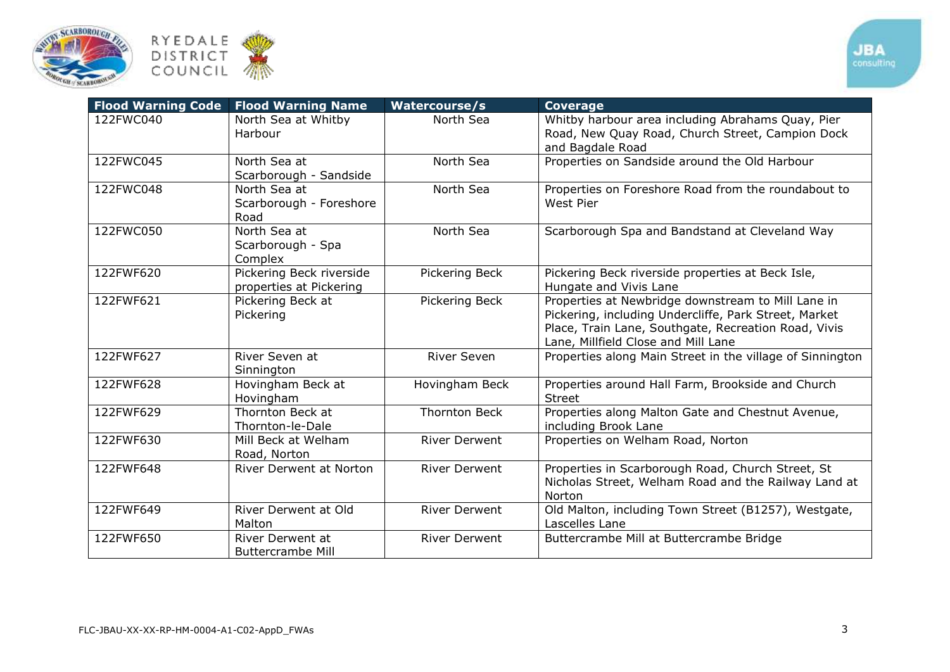



|           | <b>Flood Warning Code   Flood Warning Name</b>      | <b>Watercourse/s</b> | <b>Coverage</b>                                                                                                                                                                                            |
|-----------|-----------------------------------------------------|----------------------|------------------------------------------------------------------------------------------------------------------------------------------------------------------------------------------------------------|
| 122FWC040 | North Sea at Whitby<br>Harbour                      | North Sea            | Whitby harbour area including Abrahams Quay, Pier<br>Road, New Quay Road, Church Street, Campion Dock<br>and Bagdale Road                                                                                  |
| 122FWC045 | North Sea at<br>Scarborough - Sandside              | North Sea            | Properties on Sandside around the Old Harbour                                                                                                                                                              |
| 122FWC048 | North Sea at<br>Scarborough - Foreshore<br>Road     | North Sea            | Properties on Foreshore Road from the roundabout to<br>West Pier                                                                                                                                           |
| 122FWC050 | North Sea at<br>Scarborough - Spa<br>Complex        | North Sea            | Scarborough Spa and Bandstand at Cleveland Way                                                                                                                                                             |
| 122FWF620 | Pickering Beck riverside<br>properties at Pickering | Pickering Beck       | Pickering Beck riverside properties at Beck Isle,<br>Hungate and Vivis Lane                                                                                                                                |
| 122FWF621 | Pickering Beck at<br>Pickering                      | Pickering Beck       | Properties at Newbridge downstream to Mill Lane in<br>Pickering, including Undercliffe, Park Street, Market<br>Place, Train Lane, Southgate, Recreation Road, Vivis<br>Lane, Millfield Close and Mill Lane |
| 122FWF627 | River Seven at<br>Sinnington                        | <b>River Seven</b>   | Properties along Main Street in the village of Sinnington                                                                                                                                                  |
| 122FWF628 | Hovingham Beck at<br>Hovingham                      | Hovingham Beck       | Properties around Hall Farm, Brookside and Church<br><b>Street</b>                                                                                                                                         |
| 122FWF629 | Thornton Beck at<br>Thornton-le-Dale                | <b>Thornton Beck</b> | Properties along Malton Gate and Chestnut Avenue,<br>including Brook Lane                                                                                                                                  |
| 122FWF630 | Mill Beck at Welham<br>Road, Norton                 | <b>River Derwent</b> | Properties on Welham Road, Norton                                                                                                                                                                          |
| 122FWF648 | <b>River Derwent at Norton</b>                      | <b>River Derwent</b> | Properties in Scarborough Road, Church Street, St<br>Nicholas Street, Welham Road and the Railway Land at<br>Norton                                                                                        |
| 122FWF649 | River Derwent at Old<br>Malton                      | <b>River Derwent</b> | Old Malton, including Town Street (B1257), Westgate,<br>Lascelles Lane                                                                                                                                     |
| 122FWF650 | <b>River Derwent at</b><br><b>Buttercrambe Mill</b> | <b>River Derwent</b> | Buttercrambe Mill at Buttercrambe Bridge                                                                                                                                                                   |